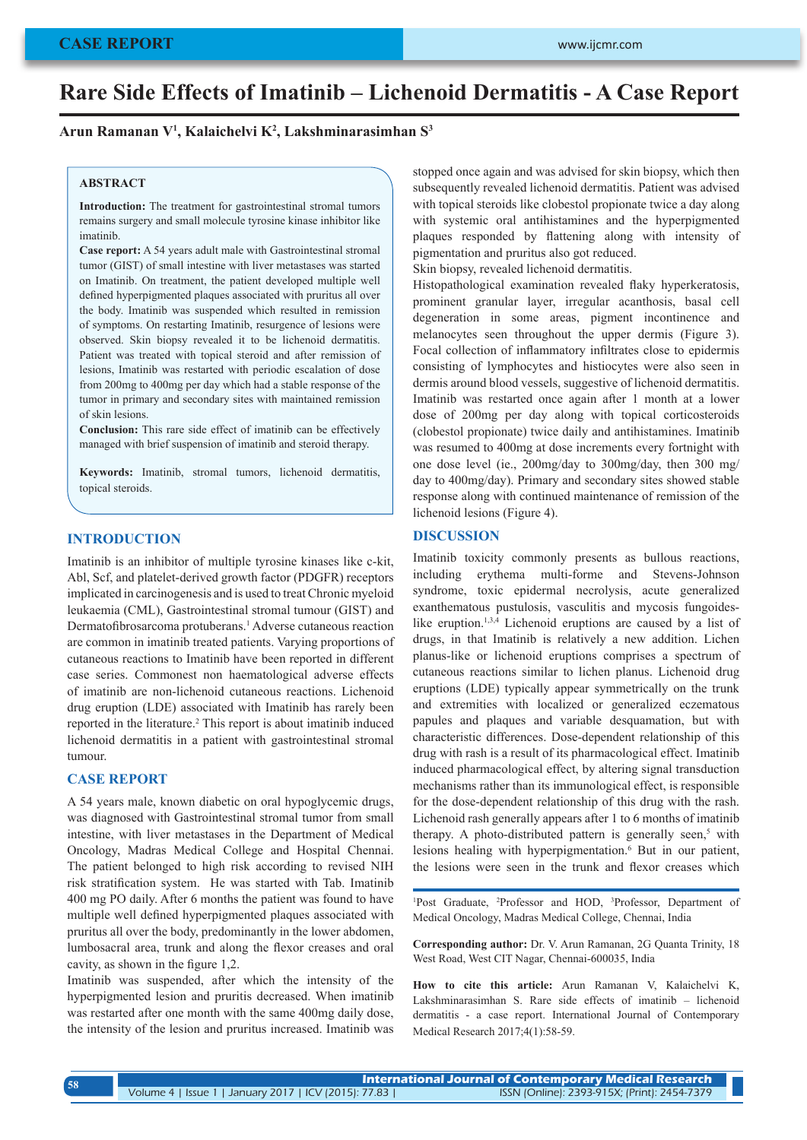# **Rare Side Effects of Imatinib – Lichenoid Dermatitis - A Case Report**

**Arun Ramanan V1 , Kalaichelvi K2 , Lakshminarasimhan S3**

## **ABSTRACT**

**Introduction:** The treatment for gastrointestinal stromal tumors remains surgery and small molecule tyrosine kinase inhibitor like imatinib.

**Case report:** A 54 years adult male with Gastrointestinal stromal tumor (GIST) of small intestine with liver metastases was started on Imatinib. On treatment, the patient developed multiple well defined hyperpigmented plaques associated with pruritus all over the body. Imatinib was suspended which resulted in remission of symptoms. On restarting Imatinib, resurgence of lesions were observed. Skin biopsy revealed it to be lichenoid dermatitis. Patient was treated with topical steroid and after remission of lesions, Imatinib was restarted with periodic escalation of dose from 200mg to 400mg per day which had a stable response of the tumor in primary and secondary sites with maintained remission of skin lesions.

**Conclusion:** This rare side effect of imatinib can be effectively managed with brief suspension of imatinib and steroid therapy.

**Keywords:** Imatinib, stromal tumors, lichenoid dermatitis, topical steroids.

## **INTRODUCTION**

Imatinib is an inhibitor of multiple tyrosine kinases like c-kit, Abl, Scf, and platelet-derived growth factor (PDGFR) receptors implicated in carcinogenesis and is used to treat Chronic myeloid leukaemia (CML), Gastrointestinal stromal tumour (GIST) and Dermatofibrosarcoma protuberans.<sup>1</sup> Adverse cutaneous reaction are common in imatinib treated patients. Varying proportions of cutaneous reactions to Imatinib have been reported in different case series. Commonest non haematological adverse effects of imatinib are non-lichenoid cutaneous reactions. Lichenoid drug eruption (LDE) associated with Imatinib has rarely been reported in the literature.<sup>2</sup> This report is about imatinib induced lichenoid dermatitis in a patient with gastrointestinal stromal tumour.

## **CASE REPORT**

A 54 years male, known diabetic on oral hypoglycemic drugs, was diagnosed with Gastrointestinal stromal tumor from small intestine, with liver metastases in the Department of Medical Oncology, Madras Medical College and Hospital Chennai. The patient belonged to high risk according to revised NIH risk stratification system. He was started with Tab. Imatinib 400 mg PO daily. After 6 months the patient was found to have multiple well defined hyperpigmented plaques associated with pruritus all over the body, predominantly in the lower abdomen, lumbosacral area, trunk and along the flexor creases and oral cavity, as shown in the figure 1,2.

Imatinib was suspended, after which the intensity of the hyperpigmented lesion and pruritis decreased. When imatinib was restarted after one month with the same 400mg daily dose, the intensity of the lesion and pruritus increased. Imatinib was stopped once again and was advised for skin biopsy, which then subsequently revealed lichenoid dermatitis. Patient was advised with topical steroids like clobestol propionate twice a day along with systemic oral antihistamines and the hyperpigmented plaques responded by flattening along with intensity of pigmentation and pruritus also got reduced.

Skin biopsy, revealed lichenoid dermatitis.

Histopathological examination revealed flaky hyperkeratosis, prominent granular layer, irregular acanthosis, basal cell degeneration in some areas, pigment incontinence and melanocytes seen throughout the upper dermis (Figure 3). Focal collection of inflammatory infiltrates close to epidermis consisting of lymphocytes and histiocytes were also seen in dermis around blood vessels, suggestive of lichenoid dermatitis. Imatinib was restarted once again after 1 month at a lower dose of 200mg per day along with topical corticosteroids (clobestol propionate) twice daily and antihistamines. Imatinib was resumed to 400mg at dose increments every fortnight with one dose level (ie., 200mg/day to 300mg/day, then 300 mg/ day to 400mg/day). Primary and secondary sites showed stable response along with continued maintenance of remission of the lichenoid lesions (Figure 4).

#### **DISCUSSION**

Imatinib toxicity commonly presents as bullous reactions, including erythema multi-forme and Stevens-Johnson syndrome, toxic epidermal necrolysis, acute generalized exanthematous pustulosis, vasculitis and mycosis fungoideslike eruption.1,3,4 Lichenoid eruptions are caused by a list of drugs, in that Imatinib is relatively a new addition. Lichen planus-like or lichenoid eruptions comprises a spectrum of cutaneous reactions similar to lichen planus. Lichenoid drug eruptions (LDE) typically appear symmetrically on the trunk and extremities with localized or generalized eczematous papules and plaques and variable desquamation, but with characteristic differences. Dose-dependent relationship of this drug with rash is a result of its pharmacological effect. Imatinib induced pharmacological effect, by altering signal transduction mechanisms rather than its immunological effect, is responsible for the dose-dependent relationship of this drug with the rash. Lichenoid rash generally appears after 1 to 6 months of imatinib therapy. A photo-distributed pattern is generally seen,<sup>5</sup> with lesions healing with hyperpigmentation.<sup>6</sup> But in our patient, the lesions were seen in the trunk and flexor creases which

<sup>1</sup>Post Graduate, <sup>2</sup>Professor and HOD, <sup>3</sup>Professor, Department of Medical Oncology, Madras Medical College, Chennai, India

**Corresponding author:** Dr. V. Arun Ramanan, 2G Quanta Trinity, 18 West Road, West CIT Nagar, Chennai-600035, India

**How to cite this article:** Arun Ramanan V, Kalaichelvi K, Lakshminarasimhan S. Rare side effects of imatinib – lichenoid dermatitis - a case report. International Journal of Contemporary Medical Research 2017;4(1):58-59.